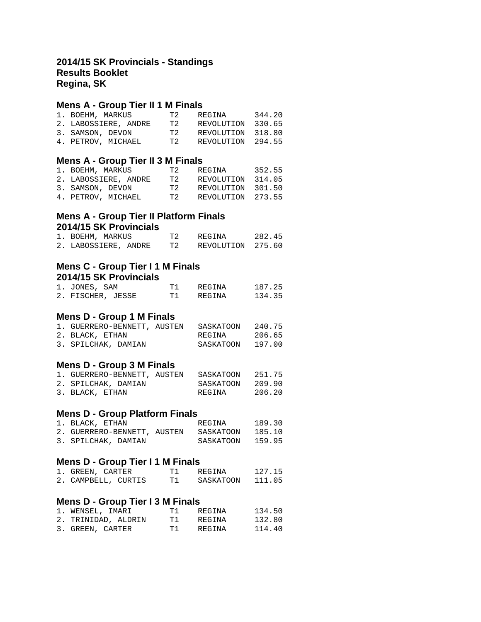## **2014/15 SK Provincials - Standings Results Booklet Regina, SK**

## **Mens A - Group Tier II 1 M Finals**

| 1. BOEHM, MARKUS |                      | T 2. | REGINA     | 344.20 |
|------------------|----------------------|------|------------|--------|
|                  | 2. LABOSSIERE, ANDRE | T 2. | REVOLUTION | 330.65 |
| 3. SAMSON, DEVON |                      | T 2. | REVOLUTION | 318.80 |
|                  | 4. PETROV, MICHAEL   | T2.  | REVOLUTION | 294.55 |
|                  |                      |      |            |        |

## **Mens A - Group Tier II 3 M Finals**

| 1. BOEHM, MARKUS |                      | T 2. | REGINA            | 352.55 |
|------------------|----------------------|------|-------------------|--------|
|                  | 2. LABOSSIERE, ANDRE | T 2. | REVOLUTION        | 314.05 |
| 3. SAMSON, DEVON |                      | T 2. | REVOLUTION 301.50 |        |
|                  | 4. PETROV, MICHAEL   | T 2. | REVOLUTION 273.55 |        |
|                  |                      |      |                   |        |

## **Mens A - Group Tier II Platform Finals 2014/15 SK Provincials**

| 1. BOEHM, MARKUS     | T 2. | REGINA            | 282.45 |
|----------------------|------|-------------------|--------|
| 2. LABOSSIERE, ANDRE | T 2  | REVOLUTION 275.60 |        |

## **Mens C - Group Tier I 1 M Finals 2014/15 SK Provincials**

| 1. JONES, SAM     | T 1 | REGINA | 187.25 |
|-------------------|-----|--------|--------|
| 2. FISCHER, JESSE | T 1 | REGINA | 134.35 |

# **Mens D - Group 1 M Finals**

| 1. GUERRERO-BENNETT, AUSTEN |  | SASKATOON | 240.75 |
|-----------------------------|--|-----------|--------|
| 2. BLACK, ETHAN             |  | REGINA    | 206.65 |
| 3. SPILCHAK, DAMIAN         |  | SASKATOON | 197.00 |

#### **Mens D - Group 3 M Finals**

| 1. GUERRERO-BENNETT, AUSTEN | SASKATOON | 251.75 |
|-----------------------------|-----------|--------|
| 2. SPILCHAK, DAMIAN         | SASKATOON | 209.90 |
| 3. BLACK, ETHAN             | REGINA    | 206.20 |

### **Mens D - Group Platform Finals**

| 1. BLACK, ETHAN     |  | REGINA                                | 189.30 |
|---------------------|--|---------------------------------------|--------|
|                     |  | 2. GUERRERO-BENNETT, AUSTEN SASKATOON | 185.10 |
| 3. SPILCHAK, DAMIAN |  | SASKATOON                             | 159.95 |

## **Mens D - Group Tier I 1 M Finals**

| 1. GREEN, CARTER    | T 1 | REGINA    | 127.15 |
|---------------------|-----|-----------|--------|
| 2. CAMPBELL, CURTIS |     | SASKATOON | 111.05 |

## **Mens D - Group Tier I 3 M Finals**

| 1. WENSEL, IMARI    | T 1  | REGINA | 134.50 |
|---------------------|------|--------|--------|
| 2. TRINIDAD, ALDRIN | T 1  | REGINA | 132.80 |
| 3. GREEN, CARTER    | T1 T | REGINA | 114.40 |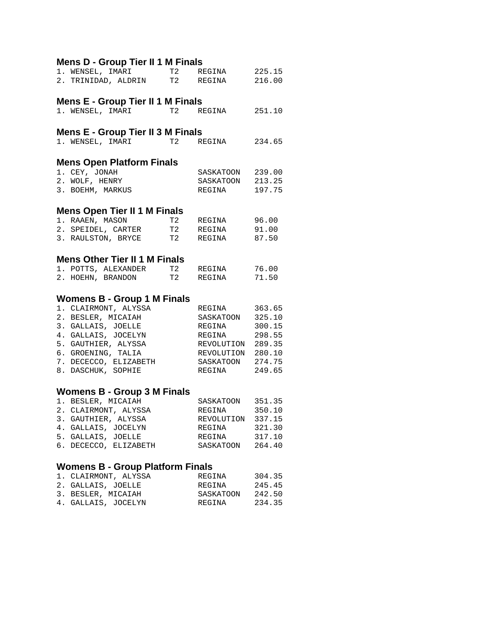| Mens D - Group Tier II 1 M Finals       |    |                                                         |        |
|-----------------------------------------|----|---------------------------------------------------------|--------|
| 1. WENSEL, IMARI T2                     |    | REGINA 225.15                                           |        |
| 2. TRINIDAD, ALDRIN T2 REGINA           |    |                                                         | 216.00 |
|                                         |    |                                                         |        |
| Mens E - Group Tier II 1 M Finals       |    |                                                         |        |
| 1. WENSEL, IMARI T2                     |    | REGINA 251.10                                           |        |
|                                         |    |                                                         |        |
| Mens E - Group Tier II 3 M Finals       |    |                                                         |        |
| 1. WENSEL, IMARI T2                     |    | REGINA                                                  | 234.65 |
|                                         |    |                                                         |        |
| <b>Mens Open Platform Finals</b>        |    |                                                         |        |
| 1. CEY, JONAH                           |    | SASKATOON 239.00                                        |        |
| 2. WOLF, HENRY                          |    | SASKATOON 213.25                                        |        |
| 3. BOEHM, MARKUS                        |    | REGINA                                                  | 197.75 |
| Mens Open Tier II 1 M Finals            |    |                                                         |        |
| 1. RAAEN, MASON                         |    | T2 REGINA 96.00                                         |        |
| 2. SPEIDEL, CARTER T2 REGINA 91.00      |    |                                                         |        |
| 3. RAULSTON, BRYCE T2 REGINA            |    |                                                         | 87.50  |
|                                         |    |                                                         |        |
| <b>Mens Other Tier II 1 M Finals</b>    |    |                                                         |        |
| 1. POTTS, ALEXANDER                     | T2 | REGINA                                                  | 76.00  |
| 2. HOEHN, BRANDON                       |    | T2 REGINA                                               | 71.50  |
|                                         |    |                                                         |        |
| <b>Womens B - Group 1 M Finals</b>      |    |                                                         |        |
| 1. CLAIRMONT, ALYSSA                    |    | REGINA 363.65                                           |        |
| 2. BESLER, MICAIAH                      |    | SASKATOON 325.10                                        |        |
| 3. GALLAIS, JOELLE                      |    | REGINA 300.15                                           |        |
| 4. GALLAIS, JOCELYN                     |    | REGINA 298.55<br>REVOLUTION 289.35<br>REVOLUTION 280.10 | 298.55 |
| 5. GAUTHIER, ALYSSA                     |    |                                                         |        |
| 6. GROENING, TALIA                      |    |                                                         |        |
| 7. DECECCO, ELIZABETH                   |    | SASKATOON 274.75                                        |        |
| 8. DASCHUK, SOPHIE                      |    | REGINA 249.65                                           |        |
| Womens B - Group 3 M Finals             |    |                                                         |        |
| 1. BESLER, MICAIAH                      |    | SASKATOON 351.35                                        |        |
| 2. CLAIRMONT, ALYSSA                    |    | REGINA                                                  | 350.10 |
| 3. GAUTHIER, ALYSSA                     |    |                                                         |        |
| 4. GALLAIS, JOCELYN                     |    | REVOLUTION 337.15<br>REGINA                             |        |
|                                         |    | REGINA 317.10                                           | 321.30 |
| 5. GALLAIS, JOELLE                      |    |                                                         |        |
| 6. DECECCO, ELIZABETH                   |    | SASKATOON 264.40                                        |        |
| <b>Womens B - Group Platform Finals</b> |    |                                                         |        |
| 1. CLAIRMONT, ALYSSA                    |    | REGINA                                                  | 304.35 |
| 2. GALLAIS, JOELLE                      |    |                                                         | 245.45 |
| 3. BESLER, MICAIAH                      |    | REGINA<br>SASKATOON                                     | 242.50 |
|                                         |    |                                                         |        |

4. GALLAIS, JOCELYN REGINA 234.35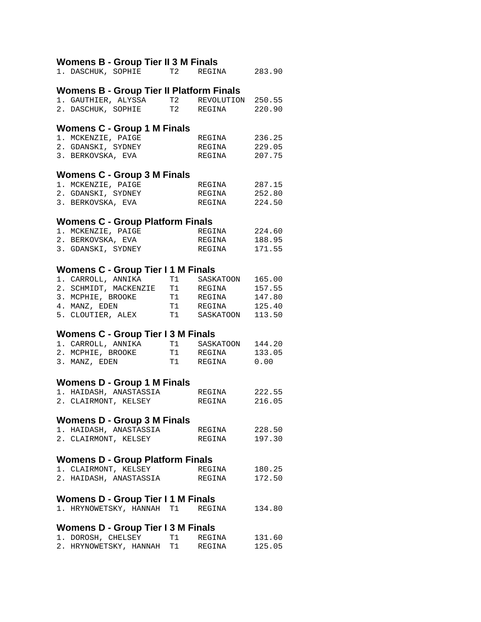# **Womens B - Group Tier II 3 M Finals**

|                      |                                           | 1. DASCHUK, SOPHIE T2 REGINA 283.90             |        |
|----------------------|-------------------------------------------|-------------------------------------------------|--------|
|                      |                                           | <b>Womens B - Group Tier II Platform Finals</b> |        |
|                      | 1. GAUTHIER, ALYSSA                       | T2 REVOLUTION 250.55                            |        |
|                      |                                           | 2. DASCHUK, SOPHIE T2 REGINA                    | 220.90 |
|                      | Womens C - Group 1 M Finals               |                                                 |        |
| 1. MCKENZIE, PAIGE   |                                           | REGINA                                          | 236.25 |
| 2. GDANSKI, SYDNEY   |                                           | REGINA                                          | 229.05 |
| 3. BERKOVSKA, EVA    |                                           | REGINA                                          | 207.75 |
|                      | Womens C - Group 3 M Finals               |                                                 |        |
| 1. MCKENZIE, PAIGE   |                                           | REGINA                                          | 287.15 |
| 2. GDANSKI, SYDNEY   |                                           | REGINA                                          | 252.80 |
| 3. BERKOVSKA, EVA    |                                           | REGINA                                          | 224.50 |
|                      | <b>Womens C - Group Platform Finals</b>   |                                                 |        |
| 1. MCKENZIE, PAIGE   |                                           | REGINA                                          | 224.60 |
| 2. BERKOVSKA, EVA    |                                           | REGINA                                          | 188.95 |
| 3. GDANSKI, SYDNEY   |                                           | REGINA                                          | 171.55 |
|                      |                                           |                                                 |        |
|                      | Womens C - Group Tier I 1 M Finals        |                                                 |        |
| 1. CARROLL, ANNIKA   |                                           | T1 SASKATOON                                    | 165.00 |
|                      |                                           |                                                 | 157.55 |
|                      |                                           |                                                 | 147.80 |
|                      |                                           |                                                 | 125.40 |
| 5. CLOUTIER, ALEX    |                                           | T1 SASKATOON                                    | 113.50 |
|                      | <b>Womens C - Group Tier I 3 M Finals</b> |                                                 |        |
| 1. CARROLL, ANNIKA   |                                           | T1 SASKATOON 144.20                             |        |
| 2. MCPHIE, BROOKE    |                                           | T1 REGINA                                       | 133.05 |
| 3. MANZ, EDEN        |                                           | T1 REGINA                                       | 0.00   |
|                      | Womens D - Group 1 M Finals               |                                                 |        |
|                      | 1. HAIDASH, ANASTASSIA                    | REGINA                                          | 222.55 |
|                      | 2. CLAIRMONT, KELSEY                      | REGINA                                          | 216.05 |
|                      | <b>Womens D - Group 3 M Finals</b>        |                                                 |        |
|                      |                                           | 1. HAIDASH, ANASTASSIA REGINA 228.50            |        |
| 2. CLAIRMONT, KELSEY |                                           | REGINA                                          | 197.30 |
|                      |                                           |                                                 |        |
|                      | <b>Womens D - Group Platform Finals</b>   |                                                 |        |
|                      |                                           | 1. CLAIRMONT, KELSEY REGINA                     | 180.25 |
|                      | 2. HAIDASH, ANASTASSIA                    | REGINA                                          | 172.50 |
|                      | Womens D - Group Tier I 1 M Finals        |                                                 |        |
|                      |                                           | 1. HRYNOWETSKY, HANNAH T1 REGINA                | 134.80 |
|                      | Womens D - Group Tier I 3 M Finals        |                                                 |        |
|                      | 1. DOROSH, CHELSEY T1 REGINA              |                                                 | 131.60 |
|                      | 2. HRYNOWETSKY, HANNAH T1                 | REGINA                                          | 125.05 |
|                      |                                           |                                                 |        |